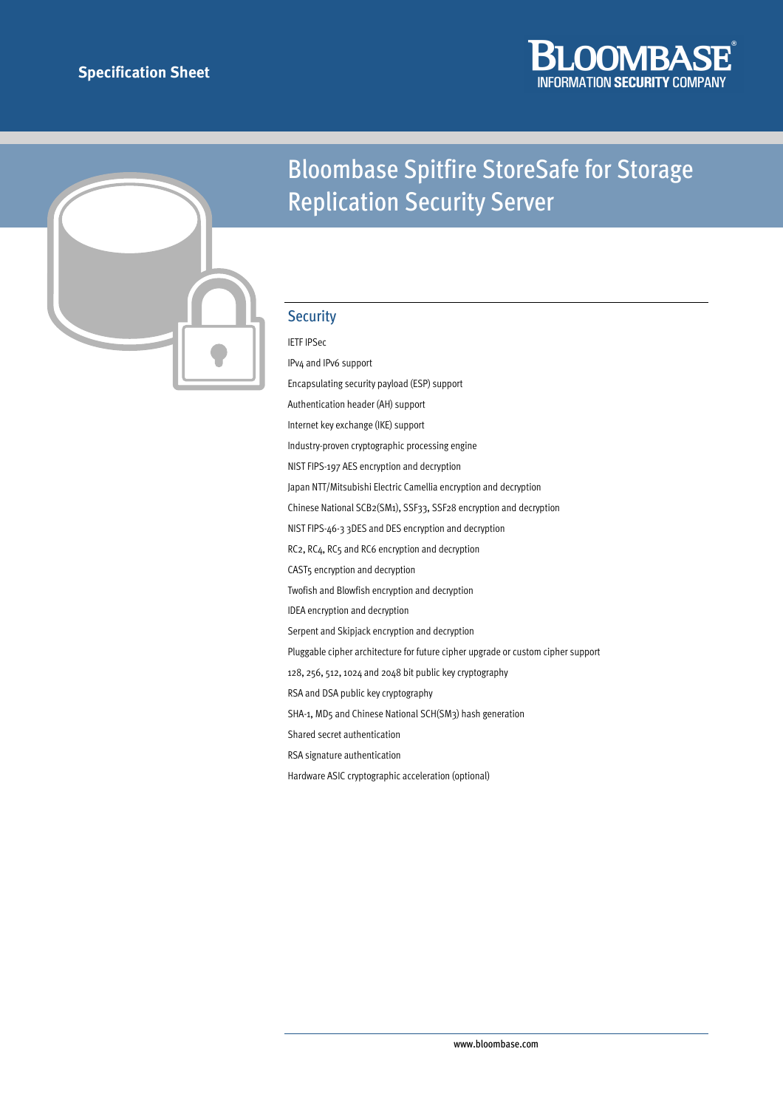



# Bloombase Spitfire StoreSafe for Storage Replication Security Server

## **Security**

IETF IPSec IPv4 and IPv6 support

Encapsulating security payload (ESP) support Authentication header (AH) support Internet key exchange (IKE) support Industry-proven cryptographic processing engine NIST FIPS-197 AES encryption and decryption Japan NTT/Mitsubishi Electric Camellia encryption and decryption Chinese National SCB2(SM1), SSF33, SSF28 encryption and decryption NIST FIPS-46-3 3DES and DES encryption and decryption RC2, RC4, RC5 and RC6 encryption and decryption CAST5 encryption and decryption Twofish and Blowfish encryption and decryption IDEA encryption and decryption Serpent and Skipjack encryption and decryption Pluggable cipher architecture for future cipher upgrade or custom cipher support 128, 256, 512, 1024 and 2048 bit public key cryptography RSA and DSA public key cryptography SHA-1, MD5 and Chinese National SCH(SM3) hash generation Shared secret authentication RSA signature authentication Hardware ASIC cryptographic acceleration (optional)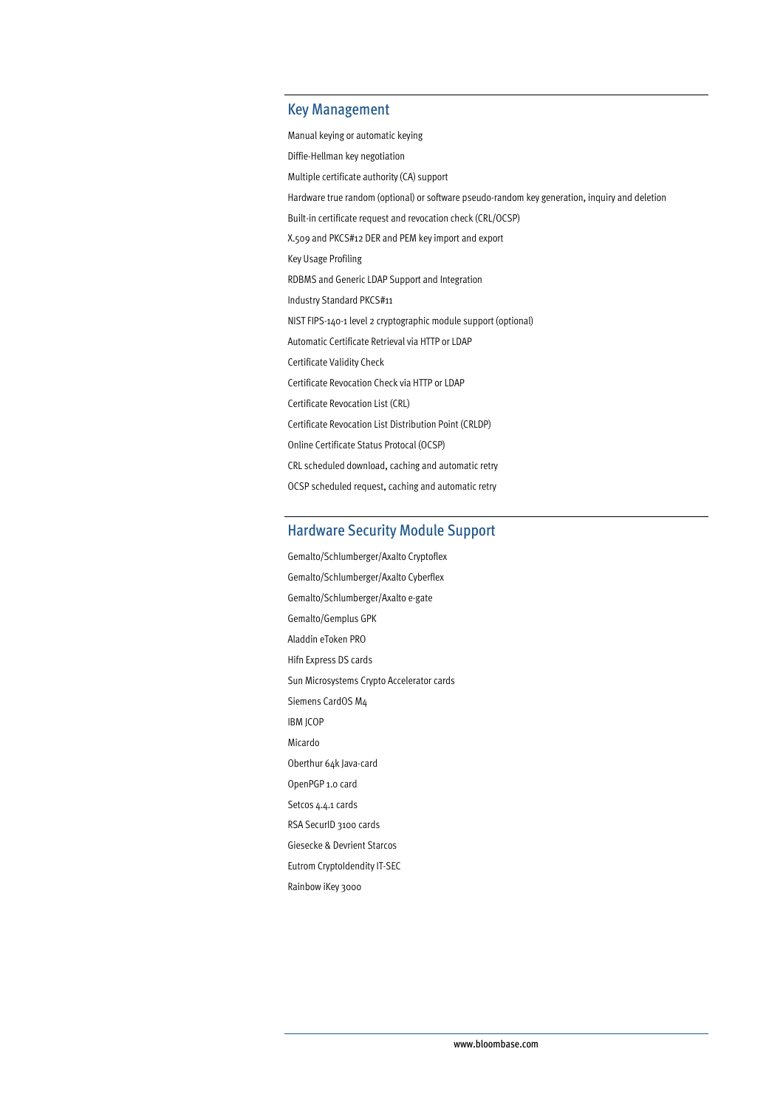#### Key Management

Manual keying or automatic keying Diffie-Hellman key negotiation Multiple certificate authority (CA) support Hardware true random (optional) or software pseudo-random key generation, inquiry and deletion Built-in certificate request and revocation check (CRL/OCSP) X.509 and PKCS#12 DER and PEM key import and export Key Usage Profiling RDBMS and Generic LDAP Support and Integration Industry Standard PKCS#11 NIST FIPS-140-1 level 2 cryptographic module support (optional) Automatic Certificate Retrieval via HTTP or LDAP Certificate Validity Check Certificate Revocation Check via HTTP or LDAP Certificate Revocation List (CRL) Certificate Revocation List Distribution Point (CRLDP) Online Certificate Status Protocal (OCSP) CRL scheduled download, caching and automatic retry OCSP scheduled request, caching and automatic retry

#### Hardware Security Module Support

Gemalto/Schlumberger/Axalto Cryptoflex Gemalto/Schlumberger/Axalto Cyberflex Gemalto/Schlumberger/Axalto e-gate Gemalto/Gemplus GPK Aladdin eToken PRO Hifn Express DS cards Sun Microsystems Crypto Accelerator cards Siemens CardOS M4 IBM JCOP Micardo Oberthur 64k Java-card OpenPGP 1.0 card Setcos 4.4.1 cards RSA SecurID 3100 cards Giesecke & Devrient Starcos Eutrom CryptoIdendity IT-SEC Rainbow iKey 3000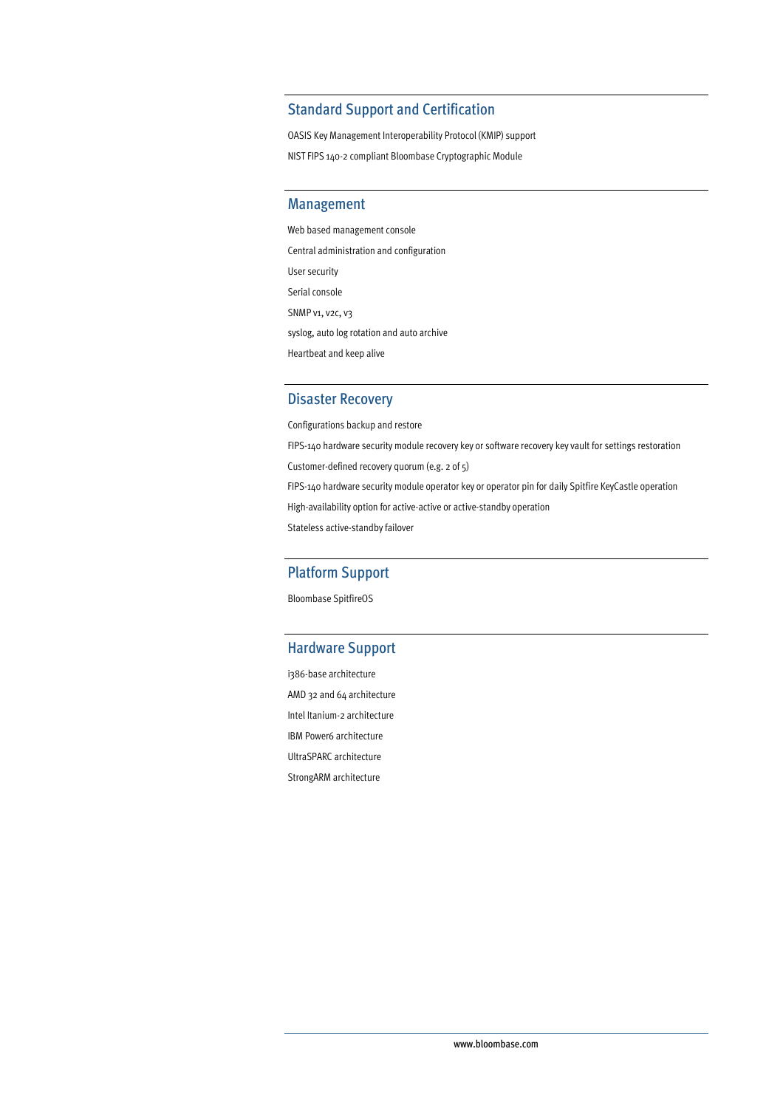# Standard Support and Certification

OASIS Key Management Interoperability Protocol (KMIP) support NIST FIPS 140-2 compliant Bloombase Cryptographic Module

## Management

Web based management console Central administration and configuration User security Serial console SNMP v1, v2c, v3 syslog, auto log rotation and auto archive Heartbeat and keep alive

#### Disaster Recovery

Configurations backup and restore

FIPS-140 hardware security module recovery key or software recovery key vault for settings restoration

Customer-defined recovery quorum (e.g. 2 of 5)

FIPS-140 hardware security module operator key or operator pin for daily Spitfire KeyCastle operation

High-availability option for active-active or active-standby operation

Stateless active-standby failover

## Platform Support

Bloombase SpitfireOS

# Hardware Support

i386-base architecture AMD 32 and 64 architecture Intel Itanium-2 architecture IBM Power6 architecture UltraSPARC architecture StrongARM architecture